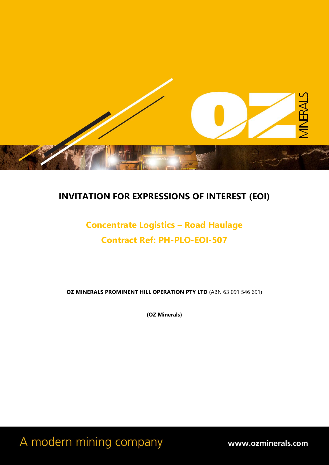

# **INVITATION FOR EXPRESSIONS OF INTEREST (EOI)**

# **Concentrate Logistics – Road Haulage Contract Ref: PH-PLO-EOI-507**

**OZ MINERALS PROMINENT HILL OPERATION PTY LTD** (ABN 63 091 546 691)

**(OZ Minerals)**

A modern mining company

www.ozminerals.com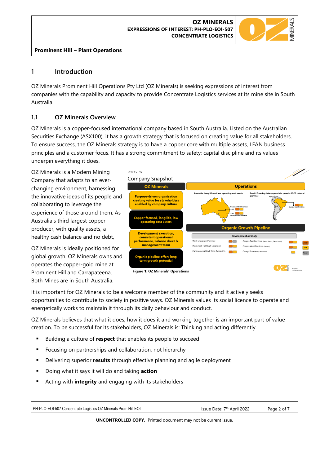

# **1 Introduction**

OZ Minerals Prominent Hill Operations Pty Ltd (OZ Minerals) is seeking expressions of interest from companies with the capability and capacity to provide Concentrate Logistics services at its mine site in South Australia.

# **1.1 OZ Minerals Overview**

OZ Minerals is a copper-focused international company based in South Australia. Listed on the Australian Securities Exchange (ASX100), it has a growth strategy that is focused on creating value for all stakeholders. To ensure success, the OZ Minerals strategy is to have a copper core with multiple assets, LEAN business principles and a customer focus. It has a strong commitment to safety; capital discipline and its values underpin everything it does.

OZ Minerals is a Modern Mining Company that adapts to an everchanging environment, harnessing the innovative ideas of its people and collaborating to leverage the experience of those around them. As Australia's third largest copper producer, with quality assets, a healthy cash balance and no debt,

OZ Minerals is ideally positioned for global growth. OZ Minerals owns and operates the copper-gold mine at Prominent Hill and Carrapateena. Both Mines are in South Australia.



It is important for OZ Minerals to be a welcome member of the community and it actively seeks opportunities to contribute to society in positive ways. OZ Minerals values its social licence to operate and energetically works to maintain it through its daily behaviour and conduct.

OZ Minerals believes that what it does, how it does it and working together is an important part of value creation. To be successful for its stakeholders, OZ Minerals is: Thinking and acting differently

- Building a culture of **respect** that enables its people to succeed
- Focusing on partnerships and collaboration, not hierarchy
- Delivering superior **results** through effective planning and agile deployment
- Doing what it says it will do and taking **action**
- Acting with *integrity* and engaging with its stakeholders

| PH-PLO-EOI-507 Concentrate Logistics OZ Minerals Prom Hill EOI | Issue Date: 7th April 2022 | Page 2 of 7 |
|----------------------------------------------------------------|----------------------------|-------------|
|                                                                |                            |             |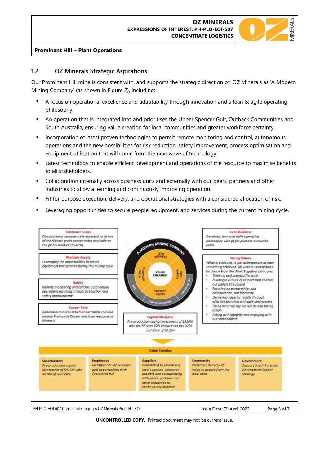

# **1.2 OZ Minerals Strategic Aspirations**

Our Prominent Hill mine is consistent with, and supports the strategic direction of, OZ Minerals as 'A Modern Mining Company' (as shown in Figure 2), including:

- A focus on operational excellence and adaptability through innovation and a lean & agile operating philosophy.
- An operation that is integrated into and prioritises the Upper Spencer Gulf, Outback Communities and South Australia, ensuring value creation for local communities and greater workforce certainty.
- Incorporation of latest proven technologies to permit remote monitoring and control, autonomous operations and the new possibilities for risk reduction, safety improvement, process optimisation and equipment utilisation that will come from the next wave of technology.
- **■** Latest technology to enable efficient development and operations of the resource to maximise benefits to all stakeholders.
- **•** Collaboration internally across business units and externally with our peers, partners and other industries to allow a learning and continuously improving operation.
- Fit for purpose execution, delivery, and operational strategies with a considered allocation of risk.
- **■** Leveraging opportunities to secure people, equipment, and services during the current mining cycle.

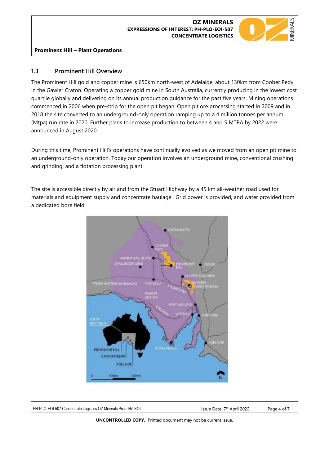#### **OZ MINERALS EXPRESSIONS OF INTEREST: PH-PLO-EOI-507 CONCENTRATE LOGISTICS**



#### **Prominent Hill – Plant Operations**

# **1.3 Prominent Hill Overview**

The Prominent Hill gold and copper mine is 650km north-west of Adelaide, about 130km from Coober Pedy in the Gawler Craton. Operating a copper gold mine in South Australia, currently producing in the lowest cost quartile globally and delivering on its annual production guidance for the past five years. Mining operations commenced in 2006 when pre-strip for the open pit began. Open pit ore processing started in 2009 and in 2018 the site converted to an underground-only operation ramping up to a 4 million tonnes per annum (Mtpa) run rate in 2020. Further plans to increase production to between 4 and 5 MTPA by 2022 were announced in August 2020.

During this time, Prominent Hill's operations have continually evolved as we moved from an open pit mine to an underground-only operation. Today our operation involves an underground mine, conventional crushing and grinding, and a flotation processing plant.

The site is accessible directly by air and from the Stuart Highway by a 45 km all-weather road used for materials and equipment supply and concentrate haulage. Grid power is provided, and water provided from a dedicated bore field.



| PH-PLO-EOI-507 Concentrate Logistics OZ Minerals Prom Hill EOI | April 2022<br>Issue Date: 7 <sup>th</sup> | Page 4 of |
|----------------------------------------------------------------|-------------------------------------------|-----------|
|                                                                |                                           |           |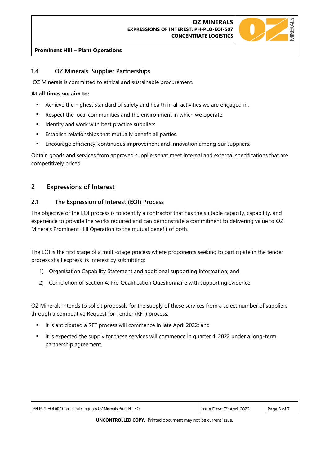

# **1.4 OZ Minerals' Supplier Partnerships**

OZ Minerals is committed to ethical and sustainable procurement.

#### **At all times we aim to:**

- **EXEC** Achieve the highest standard of safety and health in all activities we are engaged in.
- Respect the local communities and the environment in which we operate.
- Identify and work with best practice suppliers.
- Establish relationships that mutually benefit all parties.
- Encourage efficiency, continuous improvement and innovation among our suppliers.

Obtain goods and services from approved suppliers that meet internal and external specifications that are competitively priced

# **2 Expressions of Interest**

#### **2.1 The Expression of Interest (EOI) Process**

The objective of the EOI process is to identify a contractor that has the suitable capacity, capability, and experience to provide the works required and can demonstrate a commitment to delivering value to OZ Minerals Prominent Hill Operation to the mutual benefit of both.

The EOI is the first stage of a multi-stage process where proponents seeking to participate in the tender process shall express its interest by submitting:

- 1) Organisation Capability Statement and additional supporting information; and
- 2) Completion of Section 4: Pre-Qualification Questionnaire with supporting evidence

OZ Minerals intends to solicit proposals for the supply of these services from a select number of suppliers through a competitive Request for Tender (RFT) process:

- It is anticipated a RFT process will commence in late April 2022; and
- It is expected the supply for these services will commence in quarter 4, 2022 under a long-term partnership agreement.

| PH-PLO-EOI-507 Concentrate Logistics OZ Minerals Prom Hill EOI | Issue Date: 7 <sup>th</sup> April 2022 | Page 5 of 7 |
|----------------------------------------------------------------|----------------------------------------|-------------|
|                                                                |                                        |             |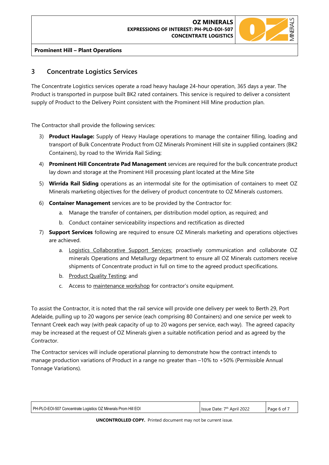#### **OZ MINERALS EXPRESSIONS OF INTEREST: PH-PLO-EOI-507 CONCENTRATE LOGISTICS**



#### **Prominent Hill – Plant Operations**

# **3 Concentrate Logistics Services**

The Concentrate Logistics services operate a road heavy haulage 24-hour operation, 365 days a year. The Product is transported in purpose built BK2 rated containers. This service is required to deliver a consistent supply of Product to the Delivery Point consistent with the Prominent Hill Mine production plan.

The Contractor shall provide the following services:

- 3) **Product Haulage:** Supply of Heavy Haulage operations to manage the container filling, loading and transport of Bulk Concentrate Product from OZ Minerals Prominent Hill site in supplied containers (BK2 Containers), by road to the Wirrida Rail Siding;
- 4) **Prominent Hill Concentrate Pad Management** services are required for the bulk concentrate product lay down and storage at the Prominent Hill processing plant located at the Mine Site
- 5) **Wirrida Rail Siding** operations as an intermodal site for the optimisation of containers to meet OZ Minerals marketing objectives for the delivery of product concentrate to OZ Minerals customers.
- 6) **Container Management** services are to be provided by the Contractor for:
	- a. Manage the transfer of containers, per distribution model option, as required; and
	- b. Conduct container serviceability inspections and rectification as directed
- 7) **Support Services** following are required to ensure OZ Minerals marketing and operations objectives are achieved.
	- a. Logistics Collaborative Support Services: proactively communication and collaborate OZ minerals Operations and Metallurgy department to ensure all OZ Minerals customers receive shipments of Concentrate product in full on time to the agreed product specifications.
	- b. Product Quality Testing; and
	- c. Access to maintenance workshop for contractor's onsite equipment.

To assist the Contractor, it is noted that the rail service will provide one delivery per week to Berth 29, Port Adelaide, pulling up to 20 wagons per service (each comprising 80 Containers) and one service per week to Tennant Creek each way (with peak capacity of up to 20 wagons per service, each way). The agreed capacity may be increased at the request of OZ Minerals given a suitable notification period and as agreed by the Contractor.

The Contractor services will include operational planning to demonstrate how the contract intends to manage production variations of Product in a range no greater than –10% to +50% (Permissible Annual Tonnage Variations).

| PH-PLO-EOI-507 Concentrate Logistics OZ Minerals Prom Hill EOI | I Issue Date: 7 <sup>th</sup> April 2022 | Page 6 of 7 |
|----------------------------------------------------------------|------------------------------------------|-------------|
|                                                                |                                          |             |